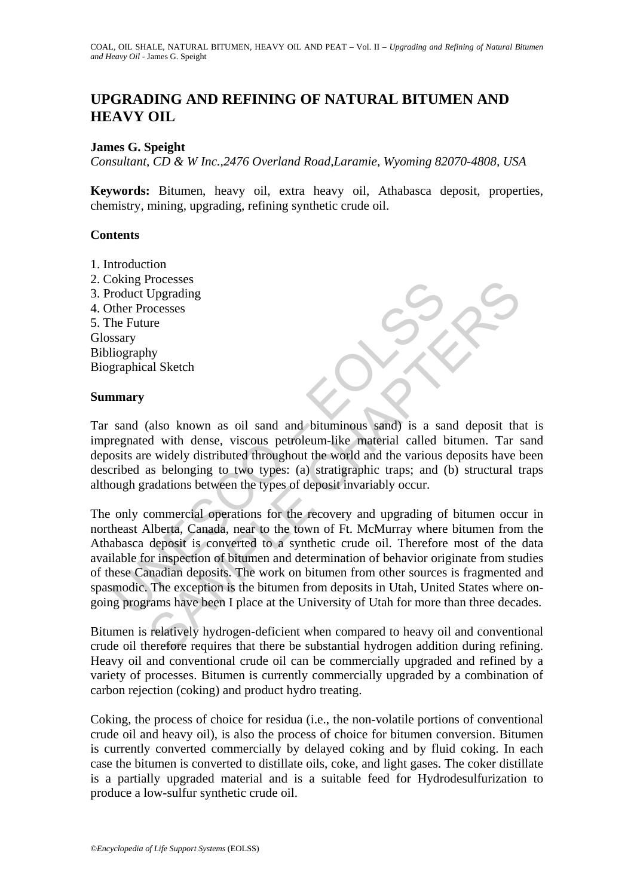# **UPGRADING AND REFINING OF NATURAL BITUMEN AND HEAVY OIL**

### **James G. Speight**

*Consultant, CD & W Inc.,2476 Overland Road,Laramie, Wyoming 82070-4808, USA* 

**Keywords:** Bitumen, heavy oil, extra heavy oil, Athabasca deposit, properties, chemistry, mining, upgrading, refining synthetic crude oil.

### **Contents**

- 1. Introduction
- 2. Coking Processes
- 3. Product Upgrading
- 4. Other Processes
- 5. The Future
- Glossary Bibliography Biographical Sketch

### **Summary**

Tar sand (also known as oil sand and bituminous sand) is a sand deposit that is impregnated with dense, viscous petroleum-like material called bitumen. Tar sand deposits are widely distributed throughout the world and the various deposits have been described as belonging to two types: (a) stratigraphic traps; and (b) structural traps although gradations between the types of deposit invariably occur.

The Processes<br>
The Processes<br>
the Frocesses<br>
the Frocesses<br>
the Frocesses<br>
the Future<br>
sary<br>
sand (also known as oil sand and bituminous sand) is a sa<br>
sand and the various sand is a same<br>
soits are widely distributed thro Processes<br>
The cocesses<br>
The coresses<br>
The coresses<br>
The coresses<br>
The coresses<br>
The coresses<br>
The width dense, viscous perfoleum-like material called bitumen. Tar s<br>
except width dense, viscous perfoleum-like material cal The only commercial operations for the recovery and upgrading of bitumen occur in northeast Alberta, Canada, near to the town of Ft. McMurray where bitumen from the Athabasca deposit is converted to a synthetic crude oil. Therefore most of the data available for inspection of bitumen and determination of behavior originate from studies of these Canadian deposits. The work on bitumen from other sources is fragmented and spasmodic. The exception is the bitumen from deposits in Utah, United States where ongoing programs have been I place at the University of Utah for more than three decades.

Bitumen is relatively hydrogen-deficient when compared to heavy oil and conventional crude oil therefore requires that there be substantial hydrogen addition during refining. Heavy oil and conventional crude oil can be commercially upgraded and refined by a variety of processes. Bitumen is currently commercially upgraded by a combination of carbon rejection (coking) and product hydro treating.

Coking, the process of choice for residua (i.e., the non-volatile portions of conventional crude oil and heavy oil), is also the process of choice for bitumen conversion. Bitumen is currently converted commercially by delayed coking and by fluid coking. In each case the bitumen is converted to distillate oils, coke, and light gases. The coker distillate is a partially upgraded material and is a suitable feed for Hydrodesulfurization to produce a low-sulfur synthetic crude oil.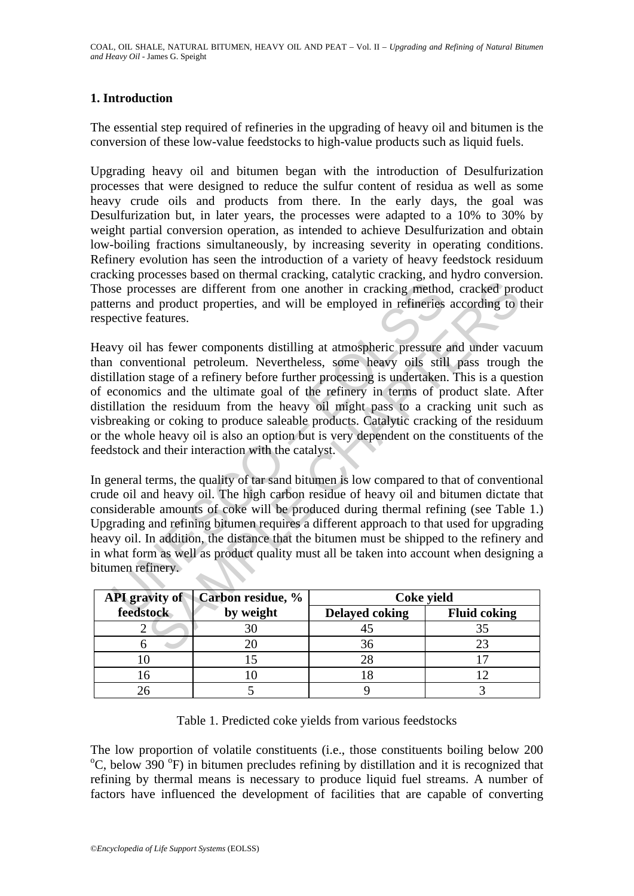## **1. Introduction**

The essential step required of refineries in the upgrading of heavy oil and bitumen is the conversion of these low-value feedstocks to high-value products such as liquid fuels.

Upgrading heavy oil and bitumen began with the introduction of Desulfurization processes that were designed to reduce the sulfur content of residua as well as some heavy crude oils and products from there. In the early days, the goal was Desulfurization but, in later years, the processes were adapted to a 10% to 30% by weight partial conversion operation, as intended to achieve Desulfurization and obtain low-boiling fractions simultaneously, by increasing severity in operating conditions. Refinery evolution has seen the introduction of a variety of heavy feedstock residuum cracking processes based on thermal cracking, catalytic cracking, and hydro conversion. Those processes are different from one another in cracking method, cracked product patterns and product properties, and will be employed in refineries according to their respective features.

se processes are different from one another in cracking method<br>erns and product properties, and will be employed in refineries<br>ective features.<br>We oil has fewer components distilling at atmospheric pressure<br>conventional pe Exercise are different from one another in cracking method, cracked product properties, and will be employed in refineries according to deproduct properties, and will be employed in refineries according to features.<br>
Ans Heavy oil has fewer components distilling at atmospheric pressure and under vacuum than conventional petroleum. Nevertheless, some heavy oils still pass trough the distillation stage of a refinery before further processing is undertaken. This is a question of economics and the ultimate goal of the refinery in terms of product slate. After distillation the residuum from the heavy oil might pass to a cracking unit such as visbreaking or coking to produce saleable products. Catalytic cracking of the residuum or the whole heavy oil is also an option but is very dependent on the constituents of the feedstock and their interaction with the catalyst.

In general terms, the quality of tar sand bitumen is low compared to that of conventional crude oil and heavy oil. The high carbon residue of heavy oil and bitumen dictate that considerable amounts of coke will be produced during thermal refining (see Table 1.) Upgrading and refining bitumen requires a different approach to that used for upgrading heavy oil. In addition, the distance that the bitumen must be shipped to the refinery and in what form as well as product quality must all be taken into account when designing a bitumen refinery.

| <b>API</b> gravity of | Carbon residue, % | Coke yield            |                     |
|-----------------------|-------------------|-----------------------|---------------------|
| feedstock             | by weight         | <b>Delayed coking</b> | <b>Fluid coking</b> |
|                       | 30                |                       |                     |
|                       |                   | 36                    |                     |
|                       |                   |                       |                     |
|                       |                   |                       |                     |
|                       |                   |                       |                     |

Table 1. Predicted coke yields from various feedstocks

The low proportion of volatile constituents (i.e., those constituents boiling below 200 C, below  $390^{\circ}$ F) in bitumen precludes refining by distillation and it is recognized that refining by thermal means is necessary to produce liquid fuel streams. A number of factors have influenced the development of facilities that are capable of converting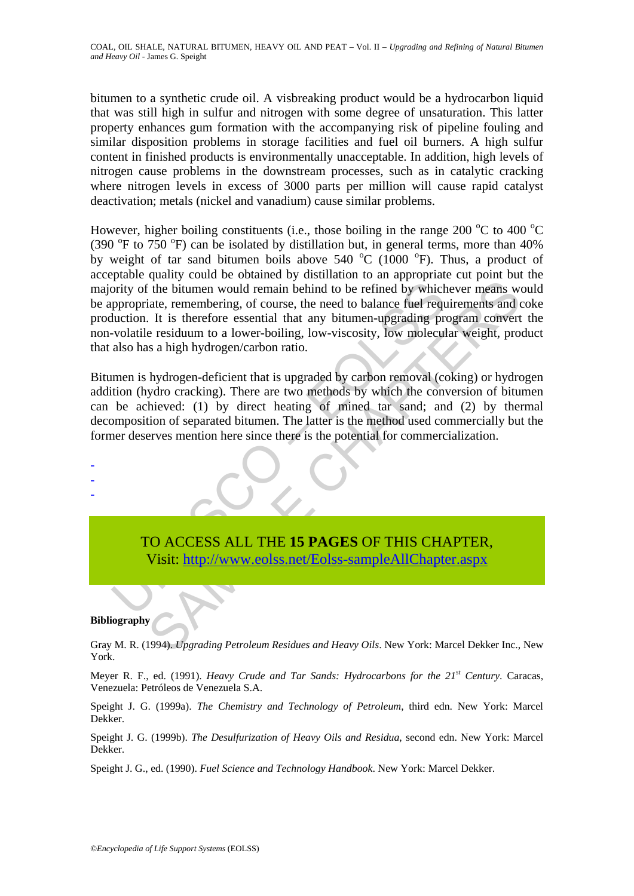bitumen to a synthetic crude oil. A visbreaking product would be a hydrocarbon liquid that was still high in sulfur and nitrogen with some degree of unsaturation. This latter property enhances gum formation with the accompanying risk of pipeline fouling and similar disposition problems in storage facilities and fuel oil burners. A high sulfur content in finished products is environmentally unacceptable. In addition, high levels of nitrogen cause problems in the downstream processes, such as in catalytic cracking where nitrogen levels in excess of 3000 parts per million will cause rapid catalyst deactivation; metals (nickel and vanadium) cause similar problems.

The state of the state of the state of the state of the state of the state of the bitumen would remain behind to be refined by which ppropriate, remembering, of course, the need to balance fuel requisition. It is therefore The bitumen would remain behind to be refined by whichever means with the bitumen would remain behind to be refined by whichever means with . It is therefore essential that any bitumen-upgrading program convert essential t However, higher boiling constituents (i.e., those boiling in the range 200  $\rm{^{\circ}C}$  to 400  $\rm{^{\circ}C}$ (390  $\mathrm{^{\circ}F}$  to 750  $\mathrm{^{\circ}F}$ ) can be isolated by distillation but, in general terms, more than 40% by weight of tar sand bitumen boils above 540  $^{\circ}$ C (1000  $^{\circ}$ F). Thus, a product of acceptable quality could be obtained by distillation to an appropriate cut point but the majority of the bitumen would remain behind to be refined by whichever means would be appropriate, remembering, of course, the need to balance fuel requirements and coke production. It is therefore essential that any bitumen-upgrading program convert the non-volatile residuum to a lower-boiling, low-viscosity, low molecular weight, product that also has a high hydrogen/carbon ratio.

Bitumen is hydrogen-deficient that is upgraded by carbon removal (coking) or hydrogen addition (hydro cracking). There are two methods by which the conversion of bitumen can be achieved: (1) by direct heating of mined tar sand; and (2) by thermal decomposition of separated bitumen. The latter is the method used commercially but the former deserves mention here since there is the potential for commercialization.

> TO ACCESS ALL THE **15 PAGES** OF THIS CHAPTER, Visit: http://www.eolss.net/Eolss-sampleAllChapter.aspx

#### **Bibliography**

- - -

Gray M. R. (1994). *Upgrading Petroleum Residues and Heavy Oils*. New York: Marcel Dekker Inc., New York.

Meyer R. F., ed. (1991). *Heavy Crude and Tar Sands: Hydrocarbons for the 21st Century*. Caracas, Venezuela: Petróleos de Venezuela S.A.

Speight J. G. (1999a). *The Chemistry and Technology of Petroleum*, third edn. New York: Marcel Dekker.

Speight J. G. (1999b). *The Desulfurization of Heavy Oils and Residua*, second edn. New York: Marcel Dekker.

Speight J. G., ed. (1990). *Fuel Science and Technology Handbook*. New York: Marcel Dekker.